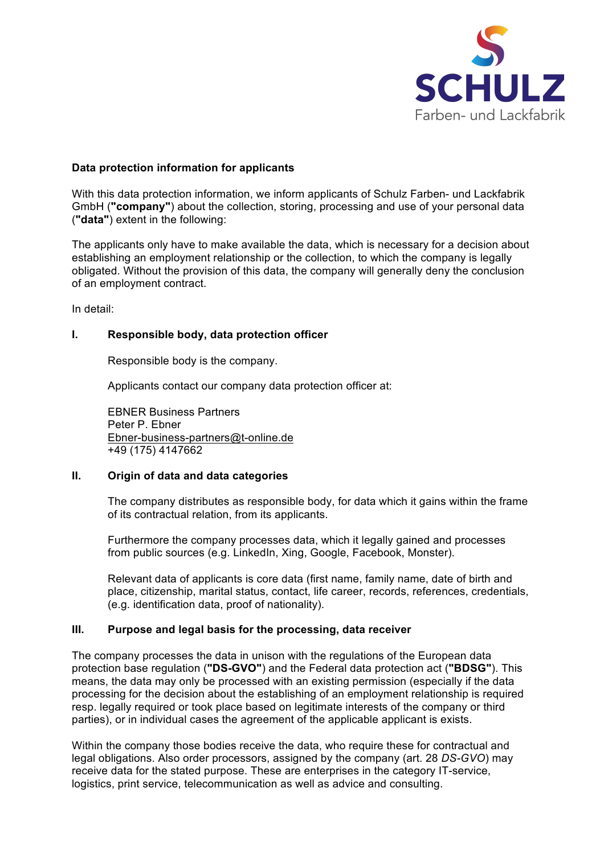

# **Data protection information for applicants**

With this data protection information, we inform applicants of Schulz Farben- und Lackfabrik GmbH (**"company"**) about the collection, storing, processing and use of your personal data (**"data"**) extent in the following:

The applicants only have to make available the data, which is necessary for a decision about establishing an employment relationship or the collection, to which the company is legally obligated. Without the provision of this data, the company will generally deny the conclusion of an employment contract.

In detail:

## **I. Responsible body, data protection officer**

Responsible body is the company.

Applicants contact our company data protection officer at:

EBNER Business Partners Peter P. Ebner Ebner-business-partners@t-online.de +49 (175) 4147662

### **II. Origin of data and data categories**

The company distributes as responsible body, for data which it gains within the frame of its contractual relation, from its applicants.

Furthermore the company processes data, which it legally gained and processes from public sources (e.g. LinkedIn, Xing, Google, Facebook, Monster).

Relevant data of applicants is core data (first name, family name, date of birth and place, citizenship, marital status, contact, life career, records, references, credentials, (e.g. identification data, proof of nationality).

### **III. Purpose and legal basis for the processing, data receiver**

The company processes the data in unison with the regulations of the European data protection base regulation (**"DS-GVO"**) and the Federal data protection act (**"BDSG"**). This means, the data may only be processed with an existing permission (especially if the data processing for the decision about the establishing of an employment relationship is required resp. legally required or took place based on legitimate interests of the company or third parties), or in individual cases the agreement of the applicable applicant is exists.

Within the company those bodies receive the data, who require these for contractual and legal obligations. Also order processors, assigned by the company (art. 28 *DS-GVO*) may receive data for the stated purpose. These are enterprises in the category IT-service, logistics, print service, telecommunication as well as advice and consulting.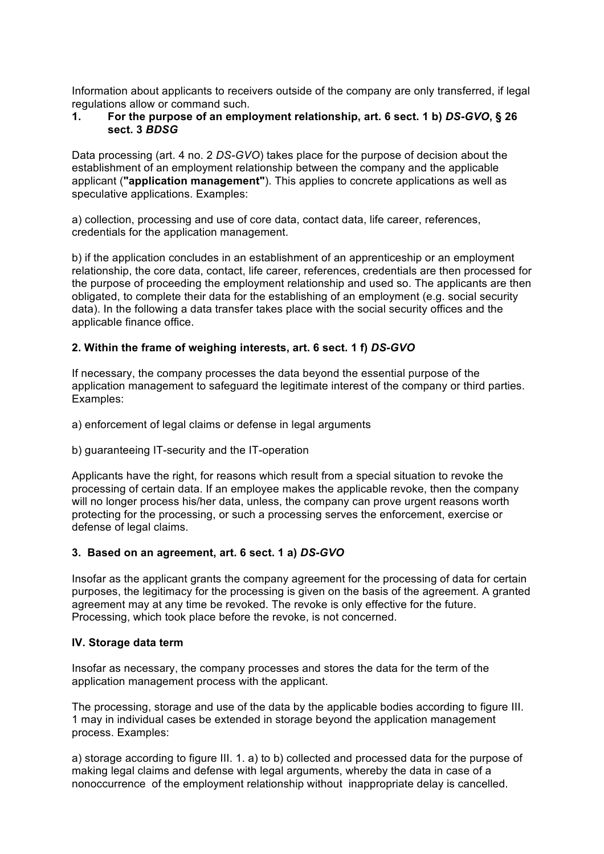Information about applicants to receivers outside of the company are only transferred, if legal regulations allow or command such.

# **1. For the purpose of an employment relationship, art. 6 sect. 1 b)** *DS-GVO***, § 26 sect. 3** *BDSG*

Data processing (art. 4 no. 2 *DS-GVO*) takes place for the purpose of decision about the establishment of an employment relationship between the company and the applicable applicant (**"application management"**). This applies to concrete applications as well as speculative applications. Examples:

a) collection, processing and use of core data, contact data, life career, references, credentials for the application management.

b) if the application concludes in an establishment of an apprenticeship or an employment relationship, the core data, contact, life career, references, credentials are then processed for the purpose of proceeding the employment relationship and used so. The applicants are then obligated, to complete their data for the establishing of an employment (e.g. social security data). In the following a data transfer takes place with the social security offices and the applicable finance office.

# **2. Within the frame of weighing interests, art. 6 sect. 1 f)** *DS-GVO*

If necessary, the company processes the data beyond the essential purpose of the application management to safeguard the legitimate interest of the company or third parties. Examples:

- a) enforcement of legal claims or defense in legal arguments
- b) guaranteeing IT-security and the IT-operation

Applicants have the right, for reasons which result from a special situation to revoke the processing of certain data. If an employee makes the applicable revoke, then the company will no longer process his/her data, unless, the company can prove urgent reasons worth protecting for the processing, or such a processing serves the enforcement, exercise or defense of legal claims.

### **3. Based on an agreement, art. 6 sect. 1 a)** *DS-GVO*

Insofar as the applicant grants the company agreement for the processing of data for certain purposes, the legitimacy for the processing is given on the basis of the agreement. A granted agreement may at any time be revoked. The revoke is only effective for the future. Processing, which took place before the revoke, is not concerned.

### **IV. Storage data term**

Insofar as necessary, the company processes and stores the data for the term of the application management process with the applicant.

The processing, storage and use of the data by the applicable bodies according to figure III. 1 may in individual cases be extended in storage beyond the application management process. Examples:

a) storage according to figure III. 1. a) to b) collected and processed data for the purpose of making legal claims and defense with legal arguments, whereby the data in case of a nonoccurrence of the employment relationship without inappropriate delay is cancelled.